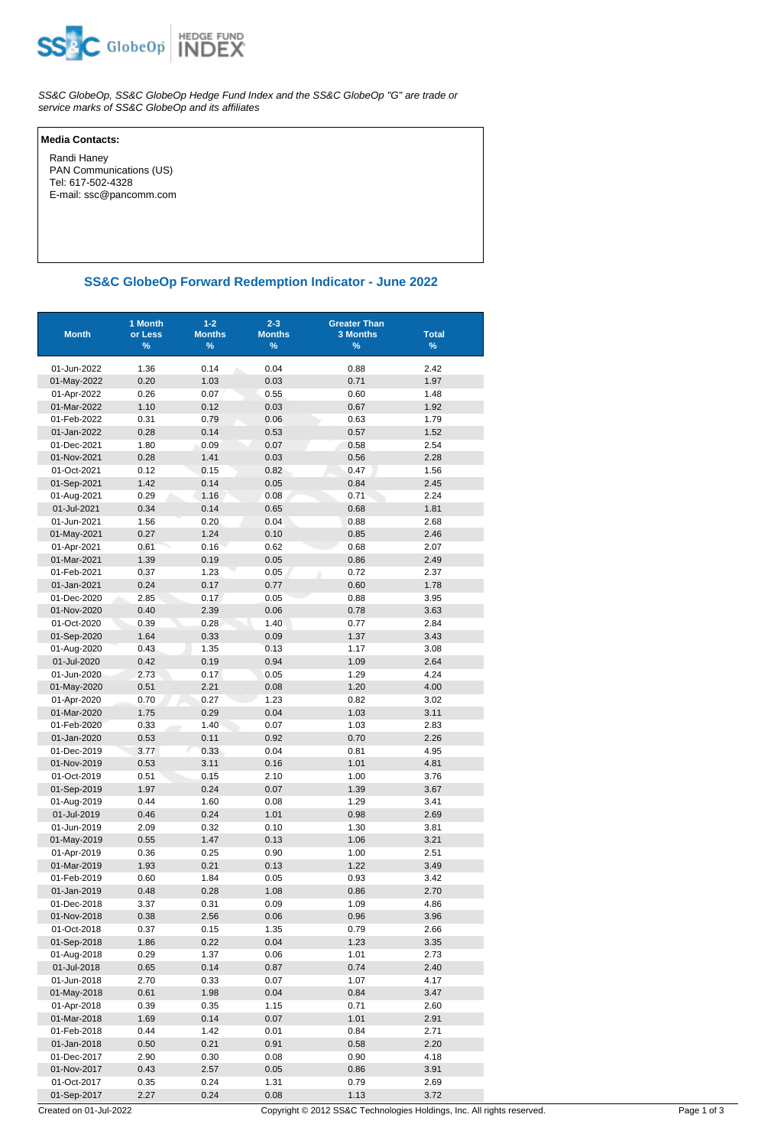

SS&C GlobeOp, SS&C GlobeOp Hedge Fund Index and the SS&C GlobeOp "G" are trade or service marks of SS&C GlobeOp and its affiliates

## **Media Contacts:**

 Randi Haney PAN Communications (US) Tel: 617-502-4328 E-mail: ssc@pancomm.com

## **SS&C GlobeOp Forward Redemption Indicator - June 2022**

| <b>Month</b>               | 1 Month<br>or Less<br>% | $1 - 2$<br><b>Months</b><br>% | $2 - 3$<br><b>Months</b><br>% | <b>Greater Than</b><br><b>3 Months</b><br>$\%$ | <b>Total</b><br>$\%$ |
|----------------------------|-------------------------|-------------------------------|-------------------------------|------------------------------------------------|----------------------|
|                            |                         |                               |                               |                                                |                      |
| 01-Jun-2022                | 1.36                    | 0.14<br>1.03                  | 0.04                          | 0.88                                           | 2.42                 |
| 01-May-2022                | 0.20<br>0.26            |                               | 0.03<br>0.55                  | 0.71<br>0.60                                   | 1.97                 |
| 01-Apr-2022<br>01-Mar-2022 | 1.10                    | 0.07<br>0.12                  | 0.03                          | 0.67                                           | 1.48<br>1.92         |
| 01-Feb-2022                | 0.31                    | 0.79                          | 0.06                          | 0.63                                           | 1.79                 |
| 01-Jan-2022                | 0.28                    | 0.14                          | 0.53                          | 0.57                                           | 1.52                 |
| 01-Dec-2021                | 1.80                    | 0.09                          | 0.07                          | 0.58                                           | 2.54                 |
| 01-Nov-2021                | 0.28                    | 1.41                          | 0.03                          | 0.56                                           | 2.28                 |
| 01-Oct-2021                | 0.12                    | 0.15                          | 0.82                          | 0.47                                           | 1.56                 |
| 01-Sep-2021                | 1.42                    | 0.14                          | 0.05                          | 0.84                                           | 2.45                 |
| 01-Aug-2021                | 0.29                    | 1.16                          | 0.08                          | 0.71                                           | 2.24                 |
| 01-Jul-2021                | 0.34                    | 0.14                          | 0.65                          | 0.68                                           | 1.81                 |
| 01-Jun-2021                | 1.56                    | 0.20                          | 0.04                          | 0.88                                           | 2.68                 |
| 01-May-2021                | 0.27                    | 1.24                          | 0.10                          | 0.85                                           | 2.46                 |
| 01-Apr-2021                | 0.61                    | 0.16                          | 0.62                          | 0.68                                           | 2.07                 |
| 01-Mar-2021                | 1.39                    | 0.19                          | 0.05                          | 0.86                                           | 2.49                 |
| 01-Feb-2021                | 0.37                    | 1.23                          | 0.05                          | 0.72                                           | 2.37                 |
| 01-Jan-2021                | 0.24                    | 0.17                          | 0.77                          | 0.60                                           | 1.78                 |
| 01-Dec-2020                | 2.85                    | 0.17                          | 0.05                          | 0.88                                           | 3.95                 |
| 01-Nov-2020                | 0.40                    | 2.39                          | 0.06                          | 0.78                                           | 3.63                 |
| 01-Oct-2020                | 0.39                    | 0.28                          | 1.40                          | 0.77                                           | 2.84                 |
| 01-Sep-2020                | 1.64                    | 0.33                          | 0.09                          | 1.37                                           | 3.43                 |
| 01-Aug-2020                | 0.43                    | 1.35                          | 0.13                          | 1.17                                           | 3.08                 |
| 01-Jul-2020                | 0.42                    | 0.19                          | 0.94                          | 1.09                                           | 2.64                 |
| 01-Jun-2020                | 2.73                    | 0.17                          | 0.05                          | 1.29                                           | 4.24                 |
| 01-May-2020                | 0.51                    | 2.21                          | 0.08                          | 1.20                                           | 4.00                 |
| 01-Apr-2020                | 0.70                    | 0.27                          | 1.23                          | 0.82                                           | 3.02                 |
| 01-Mar-2020                | 1.75                    | 0.29                          | 0.04                          | 1.03                                           | 3.11                 |
| 01-Feb-2020                | 0.33                    | 1.40                          | 0.07                          | 1.03                                           | 2.83                 |
| 01-Jan-2020                | 0.53                    | 0.11                          | 0.92                          | 0.70                                           | 2.26                 |
| 01-Dec-2019                | 3.77                    | 0.33                          | 0.04                          | 0.81                                           | 4.95                 |
| 01-Nov-2019                | 0.53                    | 3.11                          | 0.16                          | 1.01                                           | 4.81                 |
| 01-Oct-2019                | 0.51                    | 0.15                          | 2.10                          | 1.00                                           | 3.76                 |
| 01-Sep-2019                | 1.97                    | 0.24                          | 0.07                          | 1.39                                           | 3.67                 |
| 01-Aug-2019                | 0.44                    | 1.60                          | 0.08                          | 1.29                                           | 3.41                 |
| 01-Jul-2019                | 0.46                    | 0.24                          | 1.01                          | 0.98                                           | 2.69                 |
| 01-Jun-2019                | 2.09                    | 0.32                          | 0.10                          | 1.30                                           | 3.81                 |
| 01-May-2019                | 0.55                    | 1.47                          | 0.13                          | 1.06                                           | 3.21                 |
| 01-Apr-2019                | 0.36                    | 0.25                          | 0.90                          | 1.00                                           | 2.51                 |
| 01-Mar-2019                | 1.93                    | 0.21                          | 0.13                          | 1.22                                           | 3.49                 |
| 01-Feb-2019                | 0.60                    | 1.84                          | 0.05                          | 0.93                                           | 3.42                 |
| 01-Jan-2019                | 0.48                    | 0.28                          | 1.08                          | 0.86                                           | 2.70                 |
| 01-Dec-2018                | 3.37                    | 0.31                          | 0.09                          | 1.09                                           | 4.86                 |
| 01-Nov-2018                | 0.38                    | 2.56                          | 0.06                          | 0.96                                           | 3.96                 |
| 01-Oct-2018                | 0.37                    | 0.15                          | 1.35                          | 0.79                                           | 2.66                 |
| 01-Sep-2018                | 1.86                    | 0.22                          | 0.04                          | 1.23                                           | 3.35                 |
| 01-Aug-2018                | 0.29                    | 1.37                          | 0.06<br>0.87                  | 1.01<br>0.74                                   | 2.73                 |
| 01-Jul-2018<br>01-Jun-2018 | 0.65<br>2.70            | 0.14<br>0.33                  | 0.07                          | 1.07                                           | 2.40<br>4.17         |
| 01-May-2018                | 0.61                    | 1.98                          | 0.04                          | 0.84                                           | 3.47                 |
| 01-Apr-2018                | 0.39                    | 0.35                          | 1.15                          | 0.71                                           | 2.60                 |
| 01-Mar-2018                | 1.69                    | 0.14                          | 0.07                          | 1.01                                           | 2.91                 |
| 01-Feb-2018                | 0.44                    | 1.42                          | 0.01                          | 0.84                                           | 2.71                 |
| 01-Jan-2018                | 0.50                    | 0.21                          | 0.91                          | 0.58                                           | 2.20                 |
| 01-Dec-2017                | 2.90                    | 0.30                          | 0.08                          | 0.90                                           | 4.18                 |
| 01-Nov-2017                | 0.43                    | 2.57                          | 0.05                          | 0.86                                           | 3.91                 |
| 01-Oct-2017                | 0.35                    | 0.24                          | 1.31                          | 0.79                                           | 2.69                 |
| 01-Sep-2017                | 2.27                    | 0.24                          | 0.08                          | 1.13                                           | 3.72                 |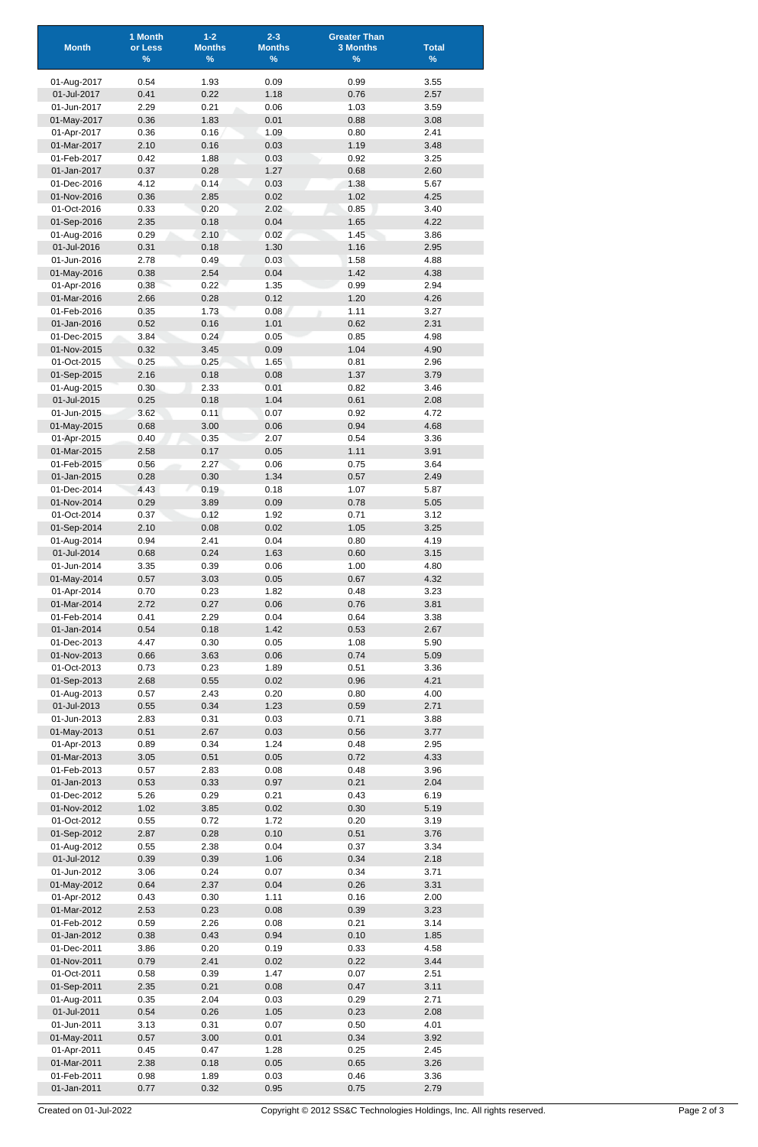| <b>Month</b>               | 1 Month<br>or Less<br>$\frac{9}{6}$ | $1 - 2$<br><b>Months</b><br>% | $2 - 3$<br><b>Months</b><br>$\%$ | <b>Greater Than</b><br><b>3 Months</b><br>$\%$ | <b>Total</b><br>$\%$ |
|----------------------------|-------------------------------------|-------------------------------|----------------------------------|------------------------------------------------|----------------------|
|                            |                                     |                               |                                  |                                                |                      |
| 01-Aug-2017<br>01-Jul-2017 | 0.54<br>0.41                        | 1.93<br>0.22                  | 0.09<br>1.18                     | 0.99<br>0.76                                   | 3.55<br>2.57         |
| 01-Jun-2017                | 2.29                                | 0.21                          | 0.06                             | 1.03                                           | 3.59                 |
| 01-May-2017                | 0.36                                | 1.83                          | 0.01                             | 0.88                                           | 3.08                 |
| 01-Apr-2017                | 0.36                                | 0.16                          | 1.09                             | 0.80                                           | 2.41                 |
| 01-Mar-2017<br>01-Feb-2017 | 2.10<br>0.42                        | 0.16<br>1.88                  | 0.03<br>0.03                     | 1.19<br>0.92                                   | 3.48<br>3.25         |
| 01-Jan-2017                | 0.37                                | 0.28                          | 1.27                             | 0.68                                           | 2.60                 |
| 01-Dec-2016                | 4.12                                | 0.14                          | 0.03                             | 1.38                                           | 5.67                 |
| 01-Nov-2016                | 0.36                                | 2.85                          | 0.02                             | 1.02                                           | 4.25                 |
| 01-Oct-2016<br>01-Sep-2016 | 0.33<br>2.35                        | 0.20<br>0.18                  | 2.02<br>0.04                     | 0.85<br>1.65                                   | 3.40<br>4.22         |
| 01-Aug-2016                | 0.29                                | 2.10                          | 0.02                             | 1.45                                           | 3.86                 |
| 01-Jul-2016                | 0.31                                | 0.18                          | 1.30                             | 1.16                                           | 2.95                 |
| 01-Jun-2016                | 2.78                                | 0.49                          | 0.03                             | 1.58                                           | 4.88                 |
| 01-May-2016<br>01-Apr-2016 | 0.38<br>0.38                        | 2.54<br>0.22                  | 0.04<br>1.35                     | 1.42<br>0.99                                   | 4.38<br>2.94         |
| 01-Mar-2016                | 2.66                                | 0.28                          | 0.12                             | 1.20                                           | 4.26                 |
| 01-Feb-2016                | 0.35                                | 1.73                          | 0.08                             | 1.11                                           | 3.27                 |
| 01-Jan-2016                | 0.52                                | 0.16                          | 1.01                             | 0.62                                           | 2.31                 |
| 01-Dec-2015                | 3.84                                | 0.24                          | 0.05                             | 0.85                                           | 4.98                 |
| 01-Nov-2015<br>01-Oct-2015 | 0.32<br>0.25                        | 3.45<br>0.25                  | 0.09<br>1.65                     | 1.04<br>0.81                                   | 4.90<br>2.96         |
| 01-Sep-2015                | 2.16                                | 0.18                          | 0.08                             | 1.37                                           | 3.79                 |
| 01-Aug-2015                | 0.30                                | 2.33                          | 0.01                             | 0.82                                           | 3.46                 |
| 01-Jul-2015                | 0.25                                | 0.18                          | 1.04                             | 0.61                                           | 2.08                 |
| 01-Jun-2015<br>01-May-2015 | 3.62<br>0.68                        | 0.11<br>3.00                  | 0.07<br>0.06                     | 0.92<br>0.94                                   | 4.72<br>4.68         |
| 01-Apr-2015                | 0.40                                | 0.35                          | 2.07                             | 0.54                                           | 3.36                 |
| 01-Mar-2015                | 2.58                                | 0.17                          | 0.05                             | 1.11                                           | 3.91                 |
| 01-Feb-2015                | 0.56                                | 2.27                          | 0.06                             | 0.75                                           | 3.64                 |
| 01-Jan-2015<br>01-Dec-2014 | 0.28<br>4.43                        | 0.30<br>0.19                  | 1.34<br>0.18                     | 0.57<br>1.07                                   | 2.49<br>5.87         |
| 01-Nov-2014                | 0.29                                | 3.89                          | 0.09                             | 0.78                                           | 5.05                 |
| 01-Oct-2014                | 0.37                                | 0.12                          | 1.92                             | 0.71                                           | 3.12                 |
| 01-Sep-2014                | 2.10                                | 0.08                          | 0.02                             | 1.05                                           | 3.25                 |
| 01-Aug-2014                | 0.94                                | 2.41                          | 0.04                             | 0.80                                           | 4.19                 |
| 01-Jul-2014<br>01-Jun-2014 | 0.68<br>3.35                        | 0.24<br>0.39                  | 1.63<br>0.06                     | 0.60<br>1.00                                   | 3.15<br>4.80         |
| 01-May-2014                | 0.57                                | 3.03                          | 0.05                             | 0.67                                           | 4.32                 |
| 01-Apr-2014                | 0.70                                | 0.23                          | 1.82                             | 0.48                                           | 3.23                 |
| 01-Mar-2014                | 2.72                                | 0.27                          | 0.06                             | 0.76                                           | 3.81                 |
| 01-Feb-2014<br>01-Jan-2014 | 0.41<br>0.54                        | 2.29<br>0.18                  | 0.04<br>1.42                     | 0.64<br>0.53                                   | 3.38<br>2.67         |
| 01-Dec-2013                | 4.47                                | 0.30                          | 0.05                             | 1.08                                           | 5.90                 |
| 01-Nov-2013                | 0.66                                | 3.63                          | 0.06                             | 0.74                                           | 5.09                 |
| 01-Oct-2013                | 0.73                                | 0.23                          | 1.89                             | 0.51                                           | 3.36                 |
| 01-Sep-2013                | 2.68                                | 0.55                          | 0.02                             | 0.96                                           | 4.21                 |
| 01-Aug-2013<br>01-Jul-2013 | 0.57<br>0.55                        | 2.43<br>0.34                  | 0.20<br>1.23                     | 0.80<br>0.59                                   | 4.00<br>2.71         |
| 01-Jun-2013                | 2.83                                | 0.31                          | 0.03                             | 0.71                                           | 3.88                 |
| 01-May-2013                | 0.51                                | 2.67                          | 0.03                             | 0.56                                           | 3.77                 |
| 01-Apr-2013                | 0.89                                | 0.34                          | 1.24                             | 0.48                                           | 2.95                 |
| 01-Mar-2013<br>01-Feb-2013 | 3.05<br>0.57                        | 0.51<br>2.83                  | 0.05<br>0.08                     | 0.72<br>0.48                                   | 4.33<br>3.96         |
| 01-Jan-2013                | 0.53                                | 0.33                          | 0.97                             | 0.21                                           | 2.04                 |
| 01-Dec-2012                | 5.26                                | 0.29                          | 0.21                             | 0.43                                           | 6.19                 |
| 01-Nov-2012                | 1.02                                | 3.85                          | 0.02                             | 0.30                                           | 5.19                 |
| 01-Oct-2012<br>01-Sep-2012 | 0.55<br>2.87                        | 0.72<br>0.28                  | 1.72<br>0.10                     | 0.20<br>0.51                                   | 3.19<br>3.76         |
| 01-Aug-2012                | 0.55                                | 2.38                          | 0.04                             | 0.37                                           | 3.34                 |
| 01-Jul-2012                | 0.39                                | 0.39                          | 1.06                             | 0.34                                           | 2.18                 |
| 01-Jun-2012                | 3.06                                | 0.24                          | 0.07                             | 0.34                                           | 3.71                 |
| 01-May-2012                | 0.64                                | 2.37                          | 0.04                             | 0.26                                           | 3.31                 |
| 01-Apr-2012<br>01-Mar-2012 | 0.43<br>2.53                        | 0.30<br>0.23                  | 1.11<br>0.08                     | 0.16<br>0.39                                   | 2.00<br>3.23         |
| 01-Feb-2012                | 0.59                                | 2.26                          | 0.08                             | 0.21                                           | 3.14                 |
| 01-Jan-2012                | 0.38                                | 0.43                          | 0.94                             | 0.10                                           | 1.85                 |
| 01-Dec-2011                | 3.86                                | 0.20                          | 0.19                             | 0.33                                           | 4.58                 |
| 01-Nov-2011<br>01-Oct-2011 | 0.79<br>0.58                        | 2.41<br>0.39                  | 0.02<br>1.47                     | 0.22<br>0.07                                   | 3.44<br>2.51         |
| 01-Sep-2011                | 2.35                                | 0.21                          | 0.08                             | 0.47                                           | 3.11                 |
| 01-Aug-2011                | 0.35                                | 2.04                          | 0.03                             | 0.29                                           | 2.71                 |
| 01-Jul-2011                | 0.54                                | 0.26                          | 1.05                             | 0.23                                           | 2.08                 |
| 01-Jun-2011<br>01-May-2011 | 3.13<br>0.57                        | 0.31<br>3.00                  | 0.07<br>0.01                     | 0.50<br>0.34                                   | 4.01<br>3.92         |
| 01-Apr-2011                | 0.45                                | 0.47                          | 1.28                             | 0.25                                           | 2.45                 |
| 01-Mar-2011                | 2.38                                | 0.18                          | 0.05                             | 0.65                                           | 3.26                 |
| 01-Feb-2011                | 0.98                                | 1.89                          | 0.03                             | 0.46                                           | 3.36                 |
| 01-Jan-2011                | 0.77                                | 0.32                          | 0.95                             | 0.75                                           | 2.79                 |